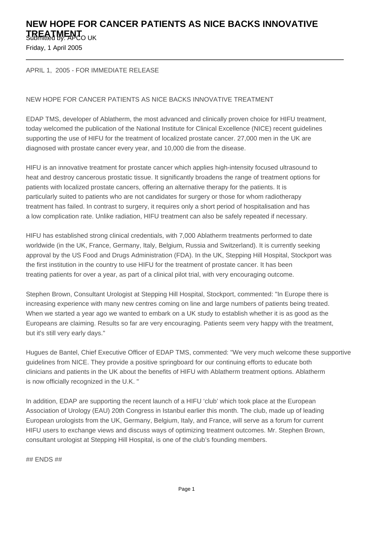## **NEW HOPE FOR CANCER PATIENTS AS NICE BACKS INNOVATIVE TREATMENT** UK

Friday, 1 April 2005

APRIL 1, 2005 - FOR IMMEDIATE RELEASE

## NEW HOPE FOR CANCER PATIENTS AS NICE BACKS INNOVATIVE TREATMENT

EDAP TMS, developer of Ablatherm, the most advanced and clinically proven choice for HIFU treatment, today welcomed the publication of the National Institute for Clinical Excellence (NICE) recent guidelines supporting the use of HIFU for the treatment of localized prostate cancer. 27,000 men in the UK are diagnosed with prostate cancer every year, and 10,000 die from the disease.

HIFU is an innovative treatment for prostate cancer which applies high-intensity focused ultrasound to heat and destroy cancerous prostatic tissue. It significantly broadens the range of treatment options for patients with localized prostate cancers, offering an alternative therapy for the patients. It is particularly suited to patients who are not candidates for surgery or those for whom radiotherapy treatment has failed. In contrast to surgery, it requires only a short period of hospitalisation and has a low complication rate. Unlike radiation, HIFU treatment can also be safely repeated if necessary.

HIFU has established strong clinical credentials, with 7,000 Ablatherm treatments performed to date worldwide (in the UK, France, Germany, Italy, Belgium, Russia and Switzerland). It is currently seeking approval by the US Food and Drugs Administration (FDA). In the UK, Stepping Hill Hospital, Stockport was the first institution in the country to use HIFU for the treatment of prostate cancer. It has been treating patients for over a year, as part of a clinical pilot trial, with very encouraging outcome.

Stephen Brown, Consultant Urologist at Stepping Hill Hospital, Stockport, commented: "In Europe there is increasing experience with many new centres coming on line and large numbers of patients being treated. When we started a year ago we wanted to embark on a UK study to establish whether it is as good as the Europeans are claiming. Results so far are very encouraging. Patients seem very happy with the treatment, but it's still very early days."

Hugues de Bantel, Chief Executive Officer of EDAP TMS, commented: "We very much welcome these supportive guidelines from NICE. They provide a positive springboard for our continuing efforts to educate both clinicians and patients in the UK about the benefits of HIFU with Ablatherm treatment options. Ablatherm is now officially recognized in the U.K. " 

In addition, EDAP are supporting the recent launch of a HIFU 'club' which took place at the European Association of Urology (EAU) 20th Congress in Istanbul earlier this month. The club, made up of leading European urologists from the UK, Germany, Belgium, Italy, and France, will serve as a forum for current HIFU users to exchange views and discuss ways of optimizing treatment outcomes. Mr. Stephen Brown, consultant urologist at Stepping Hill Hospital, is one of the club's founding members.

## ENDS ##